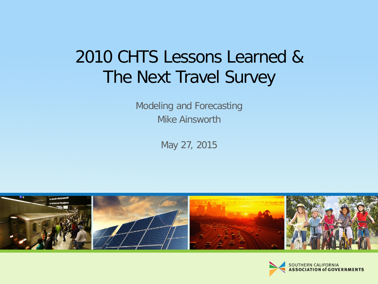### 2010 CHTS Lessons Learned & The Next Travel Survey

Modeling and Forecasting Mike Ainsworth

May 27, 2015



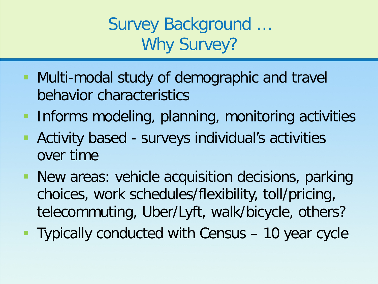Survey Background … Why Survey?

- **Multi-modal study of demographic and travel** behavior characteristics
- **Informs modeling, planning, monitoring activities**
- Activity based surveys individual's activities over time
- **New areas: vehicle acquisition decisions, parking** choices, work schedules/flexibility, toll/pricing, telecommuting, Uber/Lyft, walk/bicycle, others?
- **Typically conducted with Census 10 year cycle**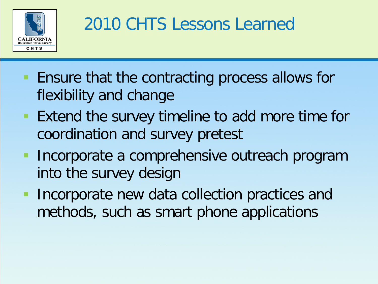

# 2010 CHTS Lessons Learned

- **Ensure that the contracting process allows for** flexibility and change
- Extend the survey timeline to add more time for coordination and survey pretest
- **Incorporate a comprehensive outreach program** into the survey design
- **Incorporate new data collection practices and** methods, such as smart phone applications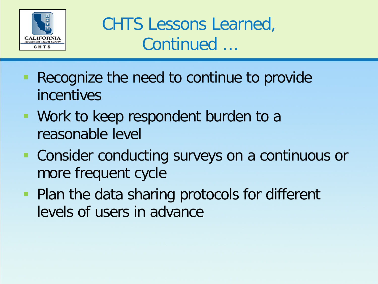

CHTS Lessons Learned, Continued …

- **Recognize the need to continue to provide** incentives
- **Work to keep respondent burden to a** reasonable level
- **Consider conducting surveys on a continuous or** more frequent cycle
- **Plan the data sharing protocols for different** levels of users in advance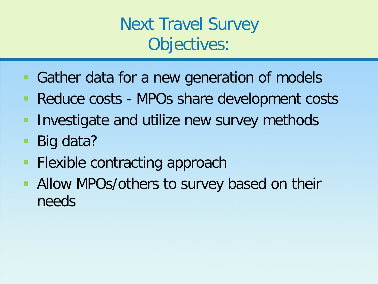Next Travel Survey Objectives:

- Gather data for a new generation of models
- **Reduce costs MPOs share development costs**
- **Investigate and utilize new survey methods**
- Big data?
- **Flexible contracting approach**
- Allow MPOs/others to survey based on their needs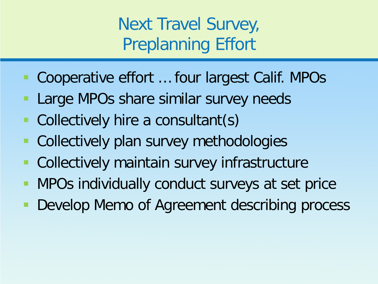Next Travel Survey, Preplanning Effort

- Cooperative effort ... four largest Calif. MPOs
- Large MPOs share similar survey needs
- **Collectively hire a consultant(s)**
- **Collectively plan survey methodologies**
- **Collectively maintain survey infrastructure**
- **MPOs individually conduct surveys at set price**
- **Develop Memo of Agreement describing process**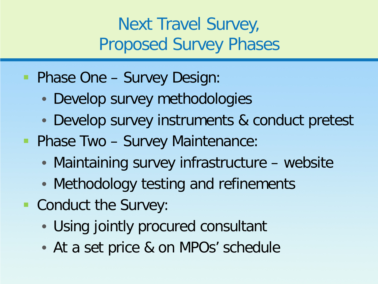### Next Travel Survey, Proposed Survey Phases

- **Phase One Survey Design:** 
	- Develop survey methodologies
	- Develop survey instruments & conduct pretest
- **Phase Two Survey Maintenance:** 
	- Maintaining survey infrastructure website
	- Methodology testing and refinements
- Conduct the Survey:
	- Using jointly procured consultant
	- At a set price & on MPOs' schedule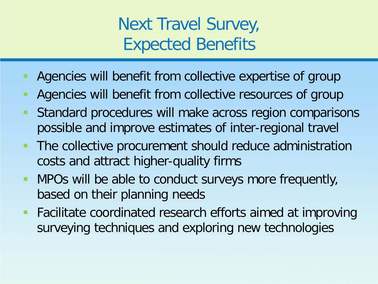### Next Travel Survey, Expected Benefits

- Agencies will benefit from collective expertise of group
- Agencies will benefit from collective resources of group
- Standard procedures will make across region comparisons possible and improve estimates of inter-regional travel
- The collective procurement should reduce administration costs and attract higher-quality firms
- MPOs will be able to conduct surveys more frequently, based on their planning needs
- **Facilitate coordinated research efforts aimed at improving** surveying techniques and exploring new technologies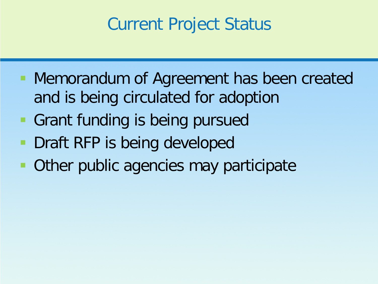#### Current Project Status

- **Memorandum of Agreement has been created** and is being circulated for adoption
- **Grant funding is being pursued**
- **Draft RFP is being developed**
- **Other public agencies may participate**